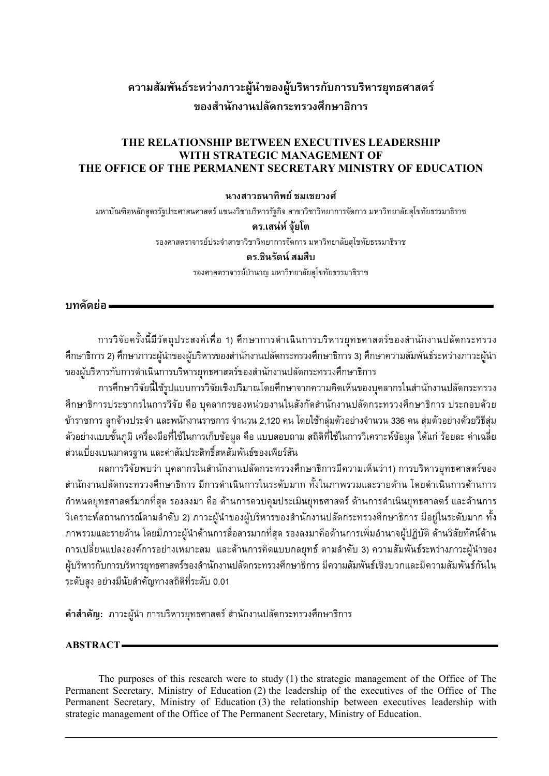# **ªµ¤´¤¡´r¦³®ªnµ£µª³¼oε°¦¼o ·®µ¦´µ¦¦·®µ¦¥»«µ¦r** ึของสำนักงานปลัดกระทรวงศึกษาธิการ

#### **THE RELATIONSHIP BETWEEN EXECUTIVES LEADERSHIP WITH STRATEGIC MANAGEMENT OF THE OFFICE OF THE PERMANENT SECRETARY MINISTRY OF EDUCATION**

#### **µµªµ·¡¥r¤Á¥ª«r**

มหาบัณฑิตหลักสูตรรัฐประศาสนศาสตร์ แขนงวิชาบริหารรัฐกิจ สาขาวิชาวิทยาการจัดการ มหาวิทยาลัยสุโขทัยธรรมาธิราช

#### **¦.Án®r»o¥Ã**

ูรองศาสตราจารย์ประจำสาขาวิชาวิทยาการจัดการ มหาวิทยาลัยสุโขทัยธรรมาธิราช

#### **¦.·¦´r¤º**

ูรองศาสตราจารย์บำนาญ มหาวิทยาลัยสุโขทัยธรรมาธิราช

ำ**เทดัดย่**อ =

ำการวิจัยครั้งนี้มีวัตถุประสงค์เพื่อ 1) ศึกษาการดำเนินการบริหารยุทธศาสตร์ของสำนักงานปลัดกระทรวง ตึกษาธิการ 2) ศึกษาภาวะผู้นำของผู้บริหารของสำนักงานปลัดกระทรวงศึกษาธิการ 3) ศึกษาความสัมพันธ์ระหว่างภาวะผู้นำ ของผู้บริหารกับการดำเนินการบริหารยุทธศาสตร์ของสำนักงานปลัดกระทรวงศึกษาธิการ

การศึกษาวิจัยนี้ใช้รูปแบบการวิจัยเชิงปริมาณโดยศึกษาจากความคิดเห็นของบุคลากรในสำนักงานปลัดกระทรวง ์ศึกษาธิการประชากรในการวิจัย คือ บุคลากรของหน่วยงานในสังกัดสำนักงานปลัดกระทรวงศึกษาธิการ ประกอบด้วย ข้าราชการ ลูกจ้างประจำ และพนักงานราชการ จำนวน 2,120 คน โดยใช้กลุ่มตัวอย่างจำนวน 336 คน สุ่มตัวอย่างด้วยวิธีสุ่ม ้ตัวอย่างแบบชั้นภูมิ เครื่องมือที่ใช้ในการเก็บข้อมูล คือ แบบสอบถาม สถิติที่ใช้ในการวิเคราะห์ข้อมูล ได้แก่ ร้อยละ ค่าเฉลี่ย ส่วนเบี่ยงเบนมาตรฐาน และค่าสัมประสิทธิ์สหสัมพันธ์ของเพียร์สัน

นลการวิจัยพบว่า บคลากรในสำนักงานปลัดกระทรวงศึกษาธิการมีความเห็นว่า1) การบริหารยทธศาสตร์ของ สำนักงานปลัดกระทรวงศึกษาธิการ มีการดำเนินการในระดับมาก ทั้งในภาพรวมและรายด้าน โดยดำเนินการด้านการ กำหนดยุทธศาสตร์มากที่สุด รองลงมา คือ ด้านการควบคุมประเมินยุทธศาสตร์ ด้านการดำเนินยุทธศาสตร์ และด้านการ วิเคราะห์สถานการณ์ตามลำดับ 2) ภาวะผู้นำของผู้บริหารของสำนักงานปลัดกระทรวงศึกษาธิการ มีอยู่ในระดับมาก ทั้ง ภาพรวมและรายด้าน โดยมีภาวะผู้นำด้านการสื่อสารมากที่สุด รองลงมาคือด้านการเพิ่มอำนาจผู้ปฏิบัติ ด้านวิสัยทัศน์ด้าน การเปลี่ยนแปลงองค์การอย่างเหมาะสม และด้านการคิดแบบกลยุทธ์ ตามลำดับ 3) ความสัมพันธ์ระหว่างภาวะผู้นำของ ผู้บริหารกับการบริหารยุทธศาสตร์ของสำนักงานปลัดกระทรวงศึกษาธิการ มีความสัมพันธ์เชิงบวกและมีความสัมพันธ์กันใน ้ระดับสูง อย่างมีนัยสำคัญทางสถิติที่ระดับ 0.01

์ **คำสำคัญ:** ภาวะผู้นำ การบริหารยุทธศาสตร์ สำนักงานปลัดกระทรวงศึกษาธิการ

#### **ABSTRACT**

The purposes of this research were to study (1) the strategic management of the Office of The Permanent Secretary, Ministry of Education (2) the leadership of the executives of the Office of The Permanent Secretary, Ministry of Education (3) the relationship between executives leadership with strategic management of the Office of The Permanent Secretary, Ministry of Education.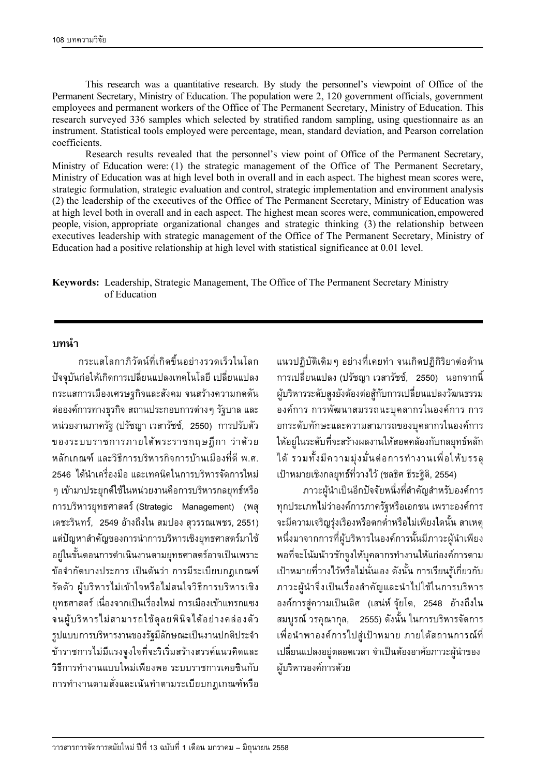This research was a quantitative research. By study the personnel's viewpoint of Office of the Permanent Secretary, Ministry of Education. The population were 2, 120 government officials, government employees and permanent workers of the Office of The Permanent Secretary, Ministry of Education. This research surveyed 336 samples which selected by stratified random sampling, using questionnaire as an instrument. Statistical tools employed were percentage, mean, standard deviation, and Pearson correlation coefficients.

 Research results revealed that the personnel's view point of Office of the Permanent Secretary, Ministry of Education were: (1) the strategic management of the Office of The Permanent Secretary, Ministry of Education was at high level both in overall and in each aspect. The highest mean scores were, strategic formulation, strategic evaluation and control, strategic implementation and environment analysis (2) the leadership of the executives of the Office of The Permanent Secretary, Ministry of Education was at high level both in overall and in each aspect. The highest mean scores were, communication, empowered people, vision, appropriate organizational changes and strategic thinking (3) the relationship between executives leadership with strategic management of the Office of The Permanent Secretary, Ministry of Education had a positive relationship at high level with statistical significance at 0.01 level.

**Keywords:** Leadership, Strategic Management, The Office of The Permanent Secretary Ministry of Education

#### **ε**

กระแสโลกาภิวัตน์ที่เกิดขึ้นอย่างรวดเร็วในโลก ้ปัจจุบันก่อให้เกิดการเปลี่ยนแปลงเทคโนโลยี เปลี่ยนแปลง กระแสการเมืองเศรษฐกิจและสังคม จนสร้างความกดดัน ต่อองค์การทางธุรกิจ สถานประกอบการต่าง ๆ รัฐบาล และ ิ หน่วยงานภาครัฐ (ปรัชญา เวสารัชช์, 2550) การปรับตัว ของระบบราชการภายใต้พระราชกฤษฎีกา ว่าด้วย ็หลักเกณฑ์ และวิธีการบริหารกิจการบ้านเมืองที่ดี พ.ศ. 2546 ได้นำเครื่องมือ และเทคนิคในการบริหารจัดการใหม่ ๆ เข้ามาประยุกต์ใช้ในหน่วยงานคือการบริหารกลยุทธ์หรือ ิการบริหารยุทธศาสตร์ (Strategic Management) (พสุ เดชะรินทร์, 2549 อ้างถึงใน สมปอง สุวรรณเพชร, 2551) แต่ปัญหาสำคัญของการนำการบริหารเชิงยุทธศาสตร์มาใช้ ือยู่ในขั้นตอนการดำเนินงานตามยุทธศาสตร์อาจเป็นเพราะ ข้อจำกัดบางประการ เป็นต้นว่า การมีระเบียบกฎเกณฑ์ ู้รัดตัว ผู้บริหารไม่เข้าใจหรือไม่สนใจวิธีการบริหารเชิง ยุทธศาสตร์ เนื่องจากเป็นเรื่องใหม่ การเมืองเข้าแทรกแซง ้จนผู้บริหารไม่สามารถใช้ดุลยพินิจได้อย่างคล่องตัว รูปแบบการบริหารงานของรัฐมีลักษณะเป็นงานปกติประจำ ข้าราชการไม่มีแรงจูงใจที่จะริเริ่มสร้างสรรค์แนวคิดและ วิธีการทำงานแบบใหม่เพียงพอ ระบบราชการเคยชินกับ การทำงานตามสั่งและเน้นทำตามระเบียบกฎเกณฑ์หรือ

แนวปฏิบัติเดิมๆ อย่างที่เคยทำ จนเกิดปฏิกิริยาต่อต้าน ิ การเปลี่ยนแปลง (ปรัชญา เวสารัชช์, 2550) นอกจากนี้ ผู้บริหารระดับสูงยังต้องต่อสู้กับการเปลี่ยนแปลงวัฒนธรรม ื่องค์การ การพัฒนาสมรรถนะบุคลากรในองค์การ การ ยกระดับทักษะและความสามารถของบุคลากรในองค์การ ให้อยู่ในระดับที่จะสร้างผลงานให้สอดคล้องกับกลยุทธ์หลัก ได้ รวมทั้งมีความมุ่งมั่นต่อการทำงานเพื่อให้บรรล<u>ุ</u> เป้าหมายเชิงกลยุทธ์ที่วางไว้ (ชลธิศ ธีระฐิติ, 2554)

ิภาวะผู้นำเป็นอีกปัจจัยหนึ่งที่สำคัญสำหรับองค์การ ทุกประเภทไม่ว่าองค์การภาครัฐหรือเอกชน เพราะองค์การ ้จะมีความเจริญรุ่งเรื่องหรือตกต่ำหรือไม่เพียงใดนั้น สาเหตุ ิ หนึ่งมาจากการที่ผู้บริหารในองค์การนั้นมีภาวะผู้นำเพียง พอที่จะโน้มน้าวชักจูงให้บุคลากรทำงานให้แก่องค์การตาม เป้าหมายที่วางไว้หรือไม่นั่นเอง ดังนั้น การเรียนรู้เกี่ยวกับ ภาวะผู้นำจึงเป็นเรื่องสำคัญและนำไปใช้ในการบริหาร ื่องค์การสู่ความเป็นเลิศ (เสน่ห์ จุ้ยโต, 2548 อ้างถึงใน ิ สมบูรณ์ วรคุณากุล, 2555) ดังนั้น ในการบริหารจัดการ เพื่อนำพาองค์การไปสู่เป้าหมาย ภายใต้สถานการณ์ที่ ้ เปลี่ยนแปลงอยู่ตลอดเวลา จำเป็นต้องอาศัยภาวะผู้นำของ ผู้บริหารองค์การด้วย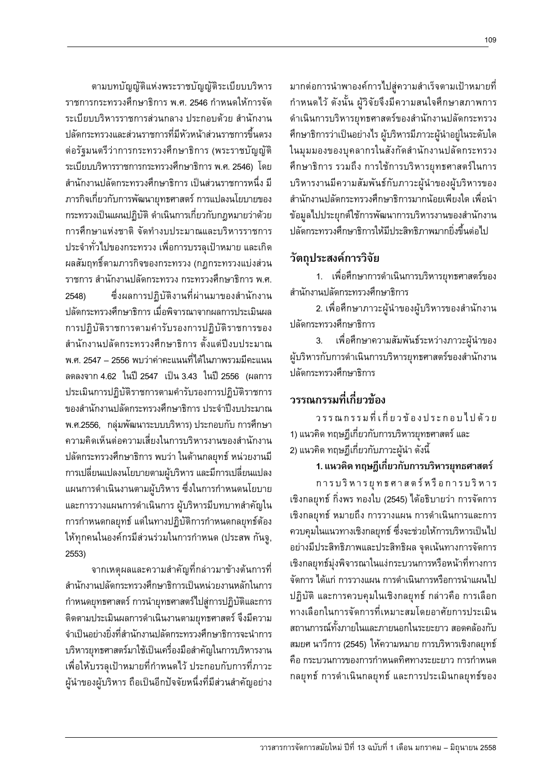มากต่อการนำพาองค์การไปสู่ความสำเร็จตามเป้าหมายที่ กำหนดไว้ ดังนั้น ผู้วิจัยจึงมีความสนใจศึกษาสภาพการ ดำเนินการบริหารยุทธศาสตร์ของสำนักงานปลัดกระทรวง ่ ศึกษาธิการว่าเป็นอย่างไร ผู้บริหารมีภาวะผู้นำอยู่ในระดับใด ในมุมมองของบุคลากรในสังกัดสำนักงานปลัดกระทรวง ตึกษาธิการ รวมถึง การใช้การบริหารยุทธศาสตร์ในการ บริหารงานมีความสัมพันธ์กับภาวะผู้นำของผู้บริหารของ สำนักงานปลัดกระทรวงศึกษาธิการมากน้อยเพียงใด เพื่อนำ ข้อมลไปประยุกต์ใช้การพัฒนาการบริหารงานของสำนักงาน ำ|ลัดกระทรวงศึกษาธิการให้มีประสิทธิภาพมากยิ่งขึ้นต่อไป

### **วัตถุประสงค์การวิจัย**

1. เพื่อศึกษาการดำเนินการบริหารยุทธศาสตร์ของ ้สำนักงานปลัดกระทรวงศึกษาธิการ

2. เพื่อศึกษาภาวะผู้นำของผู้บริหารของสำนักงาน ปลัดกระทรวงศึกษาธิการ

3. เพื่อศึกษาความสัมพันธ์ระหว่างภาวะผู้นำของ ผู้บริหารกับการดำเนินการบริหารยุทธศาสตร์ของสำนักงาน ำ|ลัดกระทรวงศึกษาธิการ

## ๋วรรณกรรมที่เกี่ยวข้อง

วรรณกรรมที่เกี่ยวข้องประกอบไปด้วย 1) แนวคิด ทฤษฎีเกี่ยวกับการบริหารยุทธศาสตร์ และ 2) แนวคิด ทฤษฎีเกี่ยวกับภาวะผู้นำ ดังนี้

## **1. ª· §¬¸Á¸É¥ª´µ¦¦·®µ¦¥»«µ¦r**

การบริหารยุทธศาสตร์หรือการบริหาร ้เชิงกลยุทธ์ กิ่งพร ทองใบ (2545) ได้อธิบายว่า การจัดการ เชิงกลยุทธ์ หมายถึง การวางแผน การดำเนินการและการ ควบคุมในแนวทางเชิงกลยุทธ์ ซึ่งจะช่วยให้การบริหารเป็นไป ือย่างมีประสิทธิภาพและประสิทธิผล จุดเน้นทางการจัดการ เชิงกลยุทธ์มุ่งพิจารณาในแง่กระบวนการหรือหน้าที่ทางการ ์ จัดการ ได้แก่ การวางแผน การดำเนินการหรือการนำแผนไป ปฏิบัติ และการควบคุมในเชิงกลยุทธ์ กล่าวคือ การเลือก ทางเลือกในการจัดการที่เหมาะสมโดยอาศัยการประเมิน สถานการณ์ทั้งภายในและภายนอกในระยะยาว สอดคล้องกับ ิ สมยศ นาวีการ (2545) ให้ความหมาย การบริหารเชิงกลยุทธ์ ์คือ กระบวนการของการกำหนดทิศทางระยะยาว การกำหนด กลยุทธ์ การดำเนินกลยุทธ์ และการประเมินกลยุทธ์ของ

ตามบทบัญญัติแห่งพระราชบัญญัติระเบียบบริหาร ูราชการกระทรวงศึกษาธิการ พ.ศ. 2546 กำหนดให้การจัด ้ระเบียบบริหารราชการส่วนกลาง ประกอบด้วย สำนักงาน ้ปลัดกระทรวงและส่วนราชการที่มีหัวหน้าส่วนราชการขึ้นตรง ต่อรัฐมนตรีว่าการกระทรวงศึกษาธิการ (พระราชบัญญัติ ระเบียบบริหารราชการกระทรวงศึกษาธิการ พ.ศ. 2546) โดย ้สำนักงานปลัดกระทรวงศึกษาธิการ เป็นส่วนราชการหนึ่ง มี  $\,$ ภารกิจเกี่ยวกับการพัฒนายทธศาสตร์ การแปลงนโยบายของ ่ กระทรวงเป็นแผนปฏิบัติ ดำเนินการเกี่ยวกับกฎหมายว่าด้วย การศึกษาแห่งชาติ จัดทำงบประมาณและบริหารราชการ ู ประจำทั่วไปของกระทรวง เพื่อการบรรลุเป้าหมาย และเกิด ้ผลสัมฤทธิ์ตามภารกิจของกระทรวง (กฎกระทรวงแบ่งส่วน ราชการ สำนักงานปลัดกระทรวง กระทรวงศึกษาธิการ พ.ศ. 2548) ซึ่งผลการปฏิบัติงานที่ผ่านมาของสำนักงาน ำ|ลัดกระทรวงศึกษาธิการ เมื่อพิจารณาจากผลการประเมินผล การปฏิบัติราชการตามคำรับรองการปฏิบัติราชการของ ้สำนักงานปลัดกระทรวงศึกษาธิการ ตั้งแต่ปีงบประมาณ ัพ ศ. 2547 – 2556 พบว่าค่าคะแนนที่ได้ในภาพรวมมีคะแนน ิลดลงจาก 4.62 ในปี 2547 เป็น 3.43 ในปี 2556 *(*ผลการ ประเมินการปฏิบัติราชการตามคำรับรองการปฏิบัติราชการ ของสำนักงานปลัดกระทรวงศึกษาธิการ ประจำปีงบประมาณ พ.ศ.2556, กล่มพัฒนาระบบบริหาร) ประกอบกับ การศึกษา ์ ความคิดเห็นต่อความเสี่ยงในการบริหารงานของสำนักงาน ิปลัดกระทรวงศึกษาธิการ พบว่า ในด้านกลยุทธ์ หน่วยงานมี การเปลี่ยนแปลงนโยบายตามผู้บริหาร และมีการเปลี่ยนแปลง แผนการดำเนินงานตามผู้บริหาร ซึ่งในการกำหนดนโยบาย ่และการวางแผนการดำเนินการ ผู้บริหารมีบทบาทสำคัญใน การกำหนดกลยุทธ์ แต่ในทางปฏิบัติการกำหนดกลยุทธ์ต้อง ให้ทุกคนในองค์กรมีส่วนร่วมในการกำหนด (ประสพ กันจู, 2553)

็จากเหต<sub>ิ</sub>ผลและความสำคัญที่กล่าวมาข้างต้นการที่ สำนักงานปลัดกระทรวงศึกษาธิการเป็นหน่วยงานหลักในการ กำหนดยุทธศาสตร์ การนำยุทธศาสตร์ไปสู่การปฏิบัติและการ ติดตามประเมินผลการดำเนินงานตามยุทธศาสตร์ จึงมีความ ึจำเป็นอย่างยิ่งที่สำนักงานปลัดกระทรวงศึกษาธิการจะนำการ ู บริหารยุทธศาสตร์มาใช้เป็นเครื่องมือสำคัญในการบริหารงาน เพื่อให้บรรลุเป้าหมายที่กำหนดไว้ ประกอบกับการที่ภาวะ ผู้นำของผู้บริหาร ถือเป็นอีกปัจจัยหนึ่งที่มีส่วนสำคัญอย่าง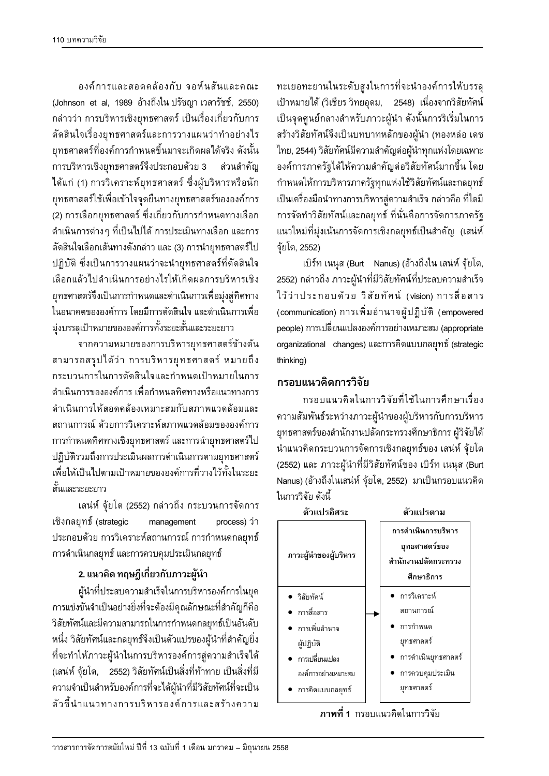องค์การและสอดคล้องกับ จอห์นสันและคณะ (Johnson et al, 1989 อ้างถึงใน ปรัชญา เวสารัชช์, 2550) ้กล่าวว่า การบริหารเชิงยุทธศาสตร์ เป็นเรื่องเกี่ยวกับการ ้ตัดสินใจเรื่องยุทธศาสตร์และการวางแผนว่าทำอย่างไร ยุทธศาสตร์ที่องค์การกำหนดขึ้นมาจะเกิดผลได้จริง ดังนั้น การบริหารเชิงยุทธศาสตร์จึงประกอบด้วย 3 ส่วนสำคัญ ได้แก่ (1) การวิเคราะห์ยุทธศาสตร์ ซึ่งผู้บริหารหรือนัก ยุทธศาสตร์ใช้เพื่อเข้าใจจุดยืนทางยุทธศาสตร์ขององค์การ (2) การเลือกยุทธศาสตร์ ซึ่งเกี่ยวกับการกำหนดทางเลือก ดำเนินการต่างๆ ที่เป็นไปได้ การประเมินทางเลือก และการ ้ตัดสินใจเลือกเส้นทางดังกล่าว และ (3) การนำยุทธศาสตร์ไป ปฏิบัติ ซึ่งเป็นการวางแผนว่าจะนำยุทธศาสตร์ที่ตัดสินใจ เลือกแล้วไปดำเนินการอย่างไรให้เกิดผลการบริหารเชิง ยุทธศาสตร์จึงเป็นการกำหนดและดำเนินการเพื่อมุ่งสู่ทิศทาง ในอนาคตขององค์การ โดยมีการตัดสินใจ และดำเนินการเพื่อ ม่งบรรลเป้าหมายขององค์การทั้งระยะสั้นและระยะยาว

จากความหมายของการบริหารยุทธศาสตร์ข้างต้น สามารถสรุปได้ว่า การบริหารยุทธศาสตร์ หมายถึง กระบวนการในการตัดสินใจและกำหนดเป้าหมายในการ ู้ดำเนินการของออล์การ เพื่อกำหนดทิศทางหรือแนวทางการ ึ ดำเนินการให้สอดคล้องเหมาะสมกับสภาพแวดล้อมและ สถานการณ์ ด้วยการวิเคราะห์สภาพแวดล้อมขององค์การ การกำหนดทิศทางเชิงยุทธศาสตร์ และการนำยุทธศาสตร์ไป ปฏิบัติรวมถึงการประเมินผลการดำเนินการตามยุทธศาสตร์ เพื่อให้เป็นไปตามเป้าหมายของออล์การที่วางไว้ทั้งในระยะ ้สั้นและระยะยาว

เสน่ห์ จุ้ยโต (2552) กล่าวถึง กระบวนการจัดการ ้เชิงกลยุทธ์์ (strategic management process) ว่า ประกอบด้วย การวิเคราะห์สถานการณ์ การกำหนดกลยุทธ์ การดำเนินกลยุทธ์ และการควบคุมประเมินกลยุทธ์

### **2. ª· §¬¸Á¸É¥ª´£µª³¼oε**

ผู้นำที่ประสบความสำเร็จในการบริหารองค์การในยุค ำการแข่งขันจำเป็นอย่างยิ่งที่จะต้องมีคุณลักษณะที่สำคัญก็คือ วิสัยทัศน์และมีความสามารถในการกำหนดกลยุทธ์เป็นอันดับ หนึ่ง วิสัยทัศน์และกลยุทธ์จึงเป็นตัวแปรของผู้นำที่สำคัญยิ่ง ที่จะทำให้ภาวะผู้นำในการบริหารองค์การสู่ความสำเร็จได้ (เสน่ห์ จุ้ยโต, 2552) วิสัยทัศน์เป็นสิ่งที่ท้าทาย เป็นสิ่งที่มี ้ ความจำเป็นสำหรับองค์การที่จะได้ผู้นำที่มีวิสัยทัศน์ที่จะเป็น ์ตัวชี้นำแนวทางการบริหารองค์การและสร้างความ

ทะเยอทะยานในระดับสูงในการที่จะนำองค์การให้บรรลุ เป้าหมายได้ (วิเชียร วิทยอุดม, 2548) เนื่องจากวิสัยทัศน์ เป็นจุดศูนย์กลางสำหรับภาวะผู้นำ ดังนั้นการริเริ่มในการ สร้างวิสัยทัศน์จึงเป็นบทบาทหลักของผู้นำ (ทองหล่อ เดช <u>ไทย, 2544) วิสัยทัศน์มีความสำคัญต่อผู้นำทุกแห่งโดยเฉพาะ</u> ืองค์การภาครัฐได้ให้ความสำคัญต่อวิสัยทัศน์มากขึ้น โดย กำหนดให้การบริหารภาครัฐทุกแห่งใช้วิสัยทัศน์และกลยุทธ์ เป็นเครื่องมือนำทางการบริหารสู่ความสำเร็จ กล่าวคือ ที่ใดมี ำการจัดทำวิสัยทัศน์และกลยุทธ์ ที่นั่นคือการจัดการภาครัฐ แนวใหม่ที่มุ่งเน้นการจัดการเชิงกลยุทธ์เป็นสำคัญ (เสน่ห์ จัยโต, 2552)

เบิร์ท เนนุส (Burt Nanus) (อ้างถึงใน เสน่ห์ จุ้ยโต, 2552) กล่าวถึง ภาวะผู้นำที่มีวิสัยทัศน์ที่ประสบความสำเร็จ ไว้ว่าประกอบด้วย วิสัยทัศน์ (vision) การสื่อสาร (communication) การเพิ่มอำนาจผู้ปฏิบัติ (empowered people) การเปลี่ยนแปลงองค์การอย่างเหมาะสม (appropriate organizational changes) และการคิดแบบกลยุทธ์ (strategic thinking)

#### **ิกรอบแนว**คิดการวิจัย

กรอบแนวคิดในการวิจัยที่ใช้ในการศึกษาเรื่อง ์ ความสัมพันธ์ระหว่างภาวะผู้นำของผู้บริหารกับการบริหาร ยุทธศาสตร์ของสำนักงานปลัดกระทรวงศึกษาธิการ ผู้วิจัยได้ นำแนวคิดกระบวนการจัดการเชิงกลยุทธ์ของ เสน่ห์ จุ้ยโต (2552) และ ภาวะผู้นำที่มีวิสัยทัศน์ของ เบิร์ท เนนุส (Burt Nanus) (อ้างถึงในเสน่ห์ จุ้ยโต, 2552) มาเป็นกรอบแนวคิด ู่ ในการวิจัย ดังนี้

| การดำเนินการบริหาร<br>ยุทธศาสตร์ของ<br>สำนักงานปลัดกระทรวง                                          |
|-----------------------------------------------------------------------------------------------------|
| ศึกษาธิการ                                                                                          |
| ● การวิเคราะห์<br>สถานการณ์<br>∙ การกำหนด<br>ยุทธศาสตร์<br>● การดำเนินยุทธศาสตร์<br>การควบคมประเมิน |
|                                                                                                     |

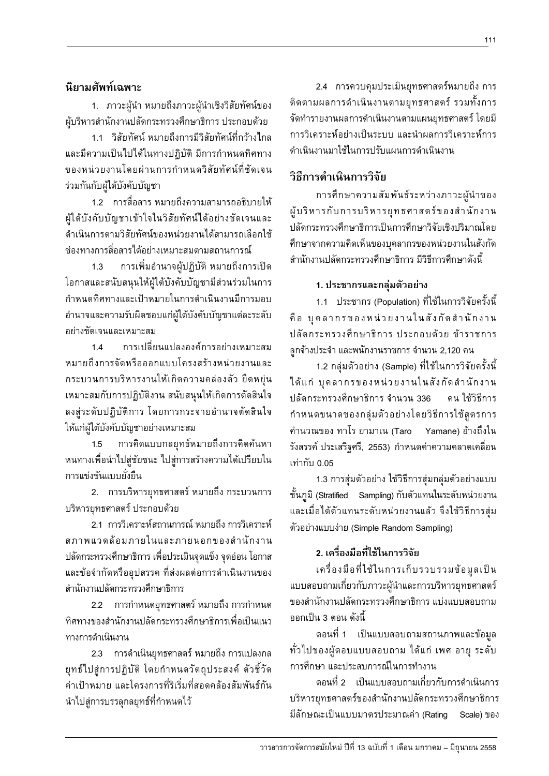### **นิยามศัพท์เฉพาะ**

1. ภาวะผู้นำ หมายถึงภาวะผู้นำเชิงวิสัยทัศน์ของ ผู้บริหารสำนักงานปลัดกระทรวงศึกษาธิการ ประกอบด้วย

1.1 วิสัยทัศน์ หมายถึงการมีวิสัยทัศน์ที่กว้างไกล และมีความเป็นไปได้ในทางปภิบัติ มีการกำหนดทิศทาง ของหน่วยงานโดยผ่านการกำหนดวิสัยทัศน์ที่ชัดเจน ร่วมกันกับผู้ใต้บังคับบัญชา

1.2 การสื่อสาร หมายถึงความสามารถอธิบายให้ ผ้ไต้บังคับบัญชาเข้าใจในวิสัยทัศน์ได้อย่างชัดเจนและ ดำเนินการตามวิสัยทัศน์ของหน่วยงานได้สามารถเลือกใช้ ิช่องทางการสื่อสารได้อย่างเหมาะสมตามสถานการณ์

1.3 การเพิ่มอำนาจผู้ปฏิบัติ หมายถึงการเปิด โอกาสและสนับสนุนให้ผู้ใต้บังคับบัญชามีส่วนร่วมในการ กำหนดทิศทางและเป้าหมายในการดำเนินงานมีการมอบ อำนาจและความรับผิดชอบแก่ผู้ใต้บังคับบัญชาแต่ละระดับ อย่างชัดเจนและเหมาะสม

1.4 การเปลี่ยนแปลงองค์การอย่างเหมาะสม ิ หมายถึงการจัดหรือออกแบบโครงสร้างหน่วยงานและ กระบวนการบริหารงานให้เกิดความคล่องตัว ยืดหยุ่น เหมาะสมกับการปฏิบัติงาน สนับสนุนให้เกิดการตัดสินใจ ้ลงสู่ระดับปฏิบัติการ โดยการกระจายอำนาจตัดสินใจ ็ให้แก่ผู้ใต้บังคับบัญชาอย่างเหมาะสม

1.5 การคิดแบบกลยุทธ์หมายถึงการคิดค้นหา ึ หนทางเพื่อนำไปสู่ชัยชนะ ไปสู่การสร้างความได้เปรียบใน การแข่งขันแบบยั้งยืน

2. การบริหารยุทธศาสตร์ หมายถึง กระบวนการ บริหารยุทธศาสตร์ ประกอบด้วย

2.1 การวิเคราะห์สถานการณ์ หมายถึง การวิเคราะห์ ิสภาพแวดล้อมภายในและภายนอกของสำนักงาน ้ ปลัดกระทรวงศึกษาธิการ เพื่อประเมินจุดแข็ง จุดอ่อน โอกาส และข้อจำกัดหรืออุปสรรค ที่ส่งผลต่อการดำเนินงานของ สำนักงานปลัดกระทรวงศึกษาธิการ

2.2 การกำหนดยทธศาสตร์ หมายถึง การกำหนด ึทิศทางของสำนักงานปลัดกระทรวงศึกษาธิการเพื่อเป็นแนว ทางการดำเนินงาน

2.3 การดำเนินยุทธศาสตร์ หมายถึง การแปลงกล ยุทธ์ไปสู่การปฏิบัติ โดยกำหนดวัตถุประสงค์ ตัวชี้วัด ค่าเป้าหมาย และโครงการที่ริเริ่มที่สอดคล้องสัมพันธ์กัน นำไปสู่การบรรลุกลยุทธ์ที่กำหนดไว้

2.4 การควบคุมประเมินยุทธศาสตร์หมายถึง การ ติดตามผลการดำเนินงานตามยุทธศาสตร์ รวมทั้งการ จัดทำรายงานผลการดำเนินงานตามแผนยุทธศาสตร์ โดยมี การวิเคราะห์อย่างเป็นระบบ และนำผลการวิเคราะห์การ ดำเนินงานมาใช้ในการปรับแผนการดำเนินงาน

## วิธีการดำเนินการวิจัย

การศึกษาความสัมพันธ์ระหว่างภาวะผู้นำของ ผู้บริหารกับการบริหารยุทธศาสตร์ของสำนักงาน ปลัดกระทรวงศึกษาธิการเป็นการศึกษาวิจัยเชิงปริมาณโดย ์ศึกษาจากความคิดเห็นของบคลากรของหน่วยงานในสังกัด สำนักงานปลัดกระทรวงศึกษาธิการ มีวิธีการศึกษาดังนี้

#### 1. ประชากรและกล่มตัวอย่าง

1.1 ประชากร (Population) ที่ใช้ในการวิจัยครั้งนี้ คือ บคลากรของหน่วยงานในสังกัดสำนักงาน ปลัดกระทรวงศึกษาธิการ ประกอบด้วย ข้าราชการ ลูกจ้างประจำ และพนักงานราชการ จำนวน 2,120 คน

1.2 กลุ่มตัวอย่าง (Sample) ที่ใช้ในการวิจัยครั้งนี้ ÅoÂn »¨µ¦°®nª¥µÄ´´Îµ´ µ ปลัดกระทรวงศึกษาธิการ จำนวน 336 คน ใช้วิธีการ กำหนดขนาดของกลุ่มตัวอย่างโดยวิธีการใช้สูตรการ ้คำนวณของ ทาโร ยามาเน (Taro Yamane) อ้างถึงใน ้รังสรรค์ ประเสริฐศรี, 2553) กำหนดค่าความคลาดเคลื่อน เท่ากับ 0.05

1.3 การสุ่มตัวอย่าง ใช้วิธีการสุ่มกลุ่มตัวอย่างแบบ ์ ชั้นภูมิ (Stratified Sampling) กับตัวแทนในระดับหน่วยงาน และเมื่อได้ตัวแทนระดับหน่วยงานแล้ว จึงใช้วิธีการสุ่ม ์ตัวอย่างแบบง่าย (Simple Random Sampling)

## **2. Á¦ºÉ°¤º°¸ÉÄoĵ¦ª·´¥**

เครื่องมือที่ใช้ในการเก็บรวบรวมข้อมูลเป็น แบบสอบถามเกี่ยวกับภาวะผู้นำและการบริหารยุทธศาสตร์ ของสำนักงานปลัดกระทรวงศึกษาธิการ แบ่งแบบสอบถาม ืออกเป็น 3 ตอน ดังนี้

ึ ตอนที่ 1 เป็นแบบสอบถามสถานภาพและข้อมูล ำ ทั่วไปของผู้ตอบแบบสอบถาม ได้แก่ เพศ อายุ ระดับ การศึกษา และประสบการณ์ในการทำงาน

็ตอนที่ 2 เป็นแบบสอบถามเกี่ยวกับการดำเนินการ บริหารยุทธศาสตร์ของสำนักงานปลัดกระทรวงศึกษาธิการ ้มีลักษณะเป็นแบบมาตรประมาณค่า (Rating Scale) ของ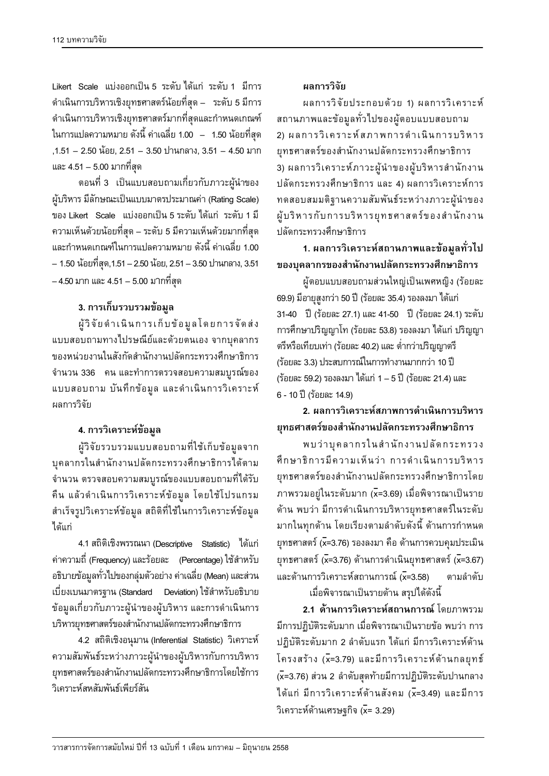Likert Scale แบ่งออกเป็น 5 ระดับ ได้แก่ ระดับ 1 มีการ ดำเนินการบริหารเชิงยุทธศาสตร์น้อยที่สุด – ระดับ 5 มีการ ดำเนินการบริหารเชิงยุทธศาสตร์มากที่สุดและกำหนดเกณฑ์  $\,$ ในการแปลความหมาย ดังนี้ ค่าเฉลี่ย 1.00  $\,$  –  $\,$  1.50 น้อยที่สุด ,1.51 – 2.50 น้อย, 2.51 – 3.50 ปานกลาง, 3.51 – 4.50 มาก และ 4.51 – 5.00 มากที่สุด

ึ ตอนที่ 3 เป็นแบบสอบถามเกี่ยวกับภาวะผู้นำของ ผู้บริหาร มีลักษณะเป็นแบบมาตรประมาณค่า (Rating Scale) ของ Likert Scale แบ่งออกเป็น 5 ระดับ ได้แก่ ระดับ 1 มี ์ ความเห็นด้วยน้อยที่สุด – ระดับ 5 มีความเห็นด้วยมากที่สุด และกำหนดเกณฑ์ในการแปลความหมาย ดังนี้ ค่าเฉลี่ย 1.00  $-$  1.50 น้อยที่สุด,1.51 – 2.50 น้อย, 2.51 – 3.50 ปานกลาง, 3.51  $-4.50$  มาก และ  $4.51 - 5.00$  มากที่สุด

### <mark>3. การเก็บรวบรวมข้อมูล</mark>

ผู้วิจัยดำเนินการเก็บข้อมูลโดยการจัดส่ง แบบสอบถามทางไปรษณีย์และด้วยตนเอง จากบุคลากร ของหน่วยงานในสังกัดสำนักงานปลัดกระทรวงศึกษาธิการ จำนวน 336 คน และทำการตรวจสอบความสมบูรณ์ของ แบบสอบถาม บันทึกข้อมูล และดำเนินการวิเคราะห์ ้ผลการวิจัย

### $4. n$ ารวิเคราะห์ข้อมูล

ผู้วิจัยรวบรวมแบบสอบถามที่ใช้เก็บข้อมูลจาก บุคลากรในสำนักงานปลัดกระทรวงศึกษาธิการได้ตาม จำนวน ตรวจสอบความสมบูรณ์ของแบบสอบถามที่ได้รับ คืน แล้วดำเนินการวิเคราะห์ข้อมูล โดยใช้โปรแกรม สำเร็จรูปวิเคราะห์ข้อมูล สถิติที่ใช้ในการวิเคราะห์ข้อมูล ได้แก่

4.1 สถิติเชิงพรรณนา (Descriptive Statistic) ได้แก่ ี ค่าความถี่ (Frequency) และร้อยละ (Percentage) ใช้สำหรับ ือธิบายข้อมูลทั่วไปของกลุ่มตัวอย่าง ค่าเฉลี่ย (Mean) และส่วน ้เบี่ยงเบนมาตรฐาน (Standard Deviation) ใช้สำหรับอธิบาย ข้อมูลเกี่ยวกับภาวะผู้นำของผู้บริหาร และการดำเนินการ บริหารยุทธศาสตร์ของสำนักงานปลัดกระทรวงศึกษาธิการ

4.2 สถิติเชิงอนุมาน (Inferential Statistic) วิเคราะห์ ิ ความสัมพันธ์ระหว่างภาวะผู้นำของผู้บริหารกับการบริหาร ยทธศาสตร์ของสำนักงานปลัดกระทรวงศึกษาธิการโดยใช้การ วิเคราะห์สหสัมพันธ์เพียร์สัน

### ้ผลการวิจัย

นลการวิจัยประกอบด้วย 1) ผลการวิเคราะห์ สถานภาพและข้อมูลทั่วไปของผู้ตอบแบบสอบถาม 2) ผลการวิเคราะห์สภาพการดำเนินการบริหาร ยทธศาสตร์ของสำนักงานปลัดกระทรวงศึกษาธิการ 3) ผลการวิเคราะห์ภาวะผู้นำของผู้บริหารสำนักงาน ปลัดกระทรวงศึกษาธิการ และ 4) ผลการวิเคราะห์การ ทดสอบสมมติฐานความสัมพันธ์ระหว่างภาวะผู้นำของ ผู้บริหารกับการบริหารยุทธศาสตร์ของสำนักงาน ำ|ลัดกระทรวงศึกษาธิการ

<u>1. ผลการวิเคราะห์สถานภาพและข้อมูลทั่วไป</u> ึของบุคลากรของสำนักงานปลัดกระทรวงศึกษาธิการ

ผู้ตอบแบบสอบถามส่วนใหญ่เป็นเพศหญิง (ร้อยละ  $69.9$ ) มีอายุสูงกว่า 50 ปี (ร้อยละ 35.4) รองลงมา ได้แก่ 31-40 ปี (ร้อยละ 27.1) และ 41-50 ปี (ร้อยละ 24.1) ระดับ การศึกษาปริญญาโท (ร้อยละ 53.8) รองลงมา ได้แก่ ปริญญา ู้ ตรีหรือเทียบเท่า (ร้อยละ 40.2) และ ต่ำกว่าปริญญาตรี (ร้อยละ 3.3) ประสบการณ์ในการทำงานมากกว่า 10 ปี  $($ ร้อยละ 59.2) รองลงมา ได้แก่ 1 – 5 ปี (ร้อยละ 21.4) และ 6 - 10 ปี (ร้อยละ 14.9)

<mark>2 ผลการวิเดราะห์สภาพการดำเนินการบริหาร</mark> ยุทธศาสตร์ของสำนักงานปลัดกระทรวงศึกษาธิการ

พบว่าบุคลากรในสำนักงานปลัดกระทรวง ด็กษาธิการมีความเห็นว่า การดำเนินการบริหาร ยุทธศาสตร์ของสำนักงานปลัดกระทรวงศึกษาธิการโดย ภาพรวมอยู่ในระดับมาก (x̄=3.69) เมื่อพิจารณาเป็นราย ด้าน พบว่า มีการดำเนินการบริหารยุทธศาสตร์ในระดับ มากในทุกด้าน โดยเรียงตามลำดับดังนี้ ด้านการกำหนด ยุทธศาสตร์ (x̄=3.76) รองลงมา คือ ด้านการควบคุมประเมิน  $\mu$ ุทธศาสตร์ (x=3.76) ด้านการดำเนินยุทธศาสตร์ (x=3.67) และด้านการวิเคราะห์สถานการณ์ (x=3.58) ตามลำดับ ู้ เมื่อพิจารณาเป็นรายด้าน สรุปได้ดังนี้

**2.1 ด้านการวิเคราะห์สถานการณ์** โดยภาพรวม ้มีการปฏิบัติระดับมาก เมื่อพิจารณาเป็นรายข้อ พบว่า การ ปฏิบัติระดับมาก 2 ลำดับแรก ได้แก่ มีการวิเคราะห์ด้าน โครงสร้าง (x=3.79) และมีการวิเคราะห์ด้านกลยุทธ์ (x=3.76) ส่วน 2 ลำดับสุดท้ายมีการปฏิบัติระดับปานกลาง ได้แก่ มีการวิเคราะห์ด้านสังคม (x=3.49) และมีการ วิเคราะห์ด้านเศรษฐกิจ ( $\bar{x}$ = 3.29)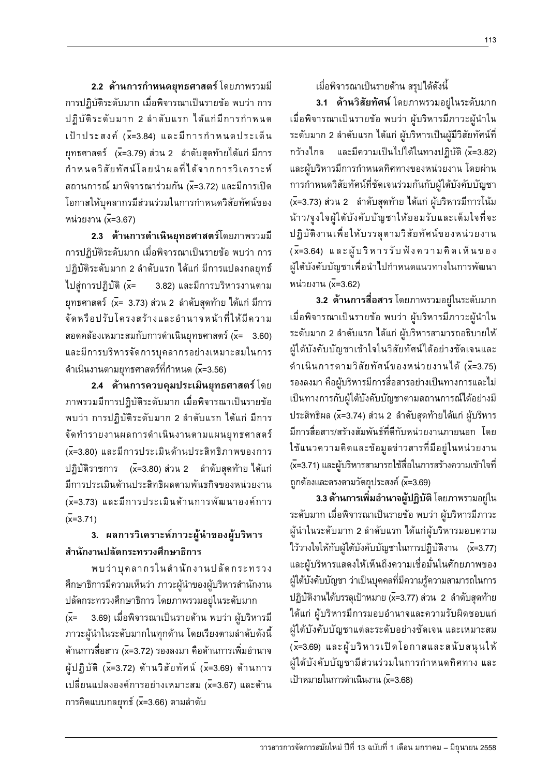**2.2 ด้านการกำหนดยุทธศาสตร์** โดยภาพรวมมี การปฏิบัติระดับมาก เมื่อพิจารณาเป็นรายข้อ พบว่า การ ปฏิบัติระดับมาก 2 ลำดับแรก ได้แก่มีการกำหนด  $\iota$ ป้าประสงค์ (x=3.84) และมีการกำหนดประเด็น ยุทธศาสตร์ (x̄=3.79) ส่วน 2 ลำดับสุดท้ายได้แก่ มีการ กำหนดวิสัยทัศน์โดยนำผลที่ได้จากการวิเคราะห์ ี สถานการณ์ มาพิจารณาร่วมกัน (x=3.72) และมีการเปิด โอกาสให้บุคลากรมีส่วนร่วมในการกำหนดวิสัยทัศน์ของ หน่วยงาน (x=3.67)

**2.3 ด้านการดำเนินยุทธศาสตร์**โดยภาพรวมมี การปฏิบัติระดับมาก เมื่อพิจารณาเป็นรายข้อ พบว่า การ ปฏิบัติระดับมาก 2 ลำดับแรก ได้แก่ มีการแปลงกลยุทธ์ ไปสู่การปฏิบัติ ( $\bar{x}$ = 3.82) และมีการบริหารงานตาม ยุทธศาสตร์ (x̄= 3.73) ส่วน 2 ลำดับสุดท้าย ได้แก่ มีการ จัดหรือปรับโครงสร้างและอำนาจหน้าที่ให้มีความ ิสอดคล้องเหมาะสมกับการดำเนินยุทธศาสตร์ (x= 3.60) และมีการบริหารจัดการบุคลากรอย่างเหมาะสมในการ ดำเนินงานตามยุทธศาสตร์ที่กำหนด (x=3.56)

**2.4 ด้านการควบคุมประเมินยุทธศาสตร์** โดย ึ ภาพรวมมีการปฏิบัติระดับมาก เมื่อพิจารณาเป็นรายข้อ พบว่า การปฏิบัติระดับมาก 2 ลำดับแรก ได้แก่ มีการ ้จัดทำรายงานผลการดำเนินงานตามแผนยุทธศาสตร์ (x=3.80) และมีการประเมินด้านประสิทธิภาพของการ ปฏิบัติราชการ (x=3.80) ส่วน 2 ลำดับสุดท้าย ได้แก่ มีการประเมินด้านประสิทธิผลตามพันธกิจของหน่วยงาน (x=3.73) และมีการประเมินด้านการพัฒนาองค์การ  $(x=3.71)$ 

## 3. ผลการวิเคราะห์ภาวะผู้นำของผู้บริหาร ้สำนักงานปลัดกระทรวงศึกษาธิการ

พบว่าบุคลากรในสำนักงานปลัดกระทรวง ดึกษาธิการมีความเห็นว่า ภาวะผู้นำของผู้บริหารสำนักงาน ิปลัดกระทรวงศึกษาธิการ โดยภาพรวมอยู่ในระดับมาก ( $\bar{x}$ = 3.69) เมื่อพิจารณาเป็นรายด้าน พบว่า ผู้บริหารมี ภาวะผู้นำในระดับมากในทุกด้าน โดยเรียงตามลำดับดังนี้ ด้านการสื่อสาร (x=3.72) รองลงมา คือด้านการเพิ่มอำนาจ ผู้ปฏิบัติ (x=3.72) ด้านวิสัยทัศน์ (x=3.69) ด้านการ ้เปลี่ยนแปลงองค์การอย่างเหมาะสม (x=3.67) และด้าน การคิดแบบกลยุทธ์ ( $\overline{x}$ =3.66) ตามลำดับ

ู้ เมื่อพิจารณาเป็นรายด้าน สรุปได้ดังนี้

**3.1 ด้านวิสัยทัศน์** โดยภาพรวมอยู่ในระดับมาก เมื่อพิจารณาเป็นรายข้อ พบว่า ผู้บริหารมีภาวะผู้นำใน ระดับมาก 2 ลำดับแรก ได้แก่ ผู้บริหารเป็นผู้มีวิสัยทัศน์ที่ กว้างไกล และมีความเป็นไปได้ในทางปฏิบัติ (x=3.82) และผู้บริหารมีการกำหนดทิศทางของหน่วยงาน โดยผ่าน การกำหนดวิสัยทัศน์ที่ชัดเจนร่วมกันกับผู้ใต้บังคับบัญชา (x=3.73) ส่วน 2 ลำดับสุดท้าย ได้แก่ ผู้บริหารมีการโน้ม น้าว/จูงใจผู้ใต้บังคับบัญชาให้ยอมรับและเต็มใจที่จะ ปฏิบัติงานเพื่อให้บรรลุตามวิสัยทัศน์ของหน่วยงาน (x=3.64) และผู้บริหารรับฟังความคิดเห็นของ ผู้ใต้บังคับบัญชาเพื่อนำไปกำหนดแนวทางในการพัฒนา หน่วยงาน (x=3.62)

**3.2 ด้านการสื่อสาร** โดยภาพรวมอยู่ในระดับมาก เมื่อพิจารณาเป็นรายข้อ พบว่า ผู้บริหารมีภาวะผู้นำใน ระดับมาก 2 ลำดับแรก ได้แก่ ผู้บริหารสามารถอธิบายให้ ผู้ใต้บังคับบัญชาเข้าใจในวิสัยทัศน์ได้อย่างชัดเจนและ ดำเนินการตามวิสัยทัศน์ของหน่วยงานได้ (x=3.75) รองลงมา คือผับริหารมีการสื่อสารอย่างเป็นทางการและไม่ เป็นทางการกับผู้ใต้บังคับบัญชาตามสถานการณ์ใด้อย่างมี ประสิทธิผล (x̄=3.74) ส่วน 2 ลำดับสุดท้ายได้แก่ ผู้บริหาร ้มีการสื่อสาร/สร้างสัมพันธ์ที่ดีกับหน่วยงานภายนอก โดย ใช้แนวความคิดและข้อมูลข่าวสารที่มีอยู่ในหน่วยงาน (x=3.71) และผู้บริหารสามารถใช้สื่อในการสร้างความเข้าใจที่ ถูกต้องและตรงตามวัตถุประสงค์ (x=3.69)

**3.3 ด้านการเพิ่มอำนาจผู้ปฏิบัติ** โดยภาพรวมอยู่ใน ระดับมาก เมื่อพิจารณาเป็นรายข้อ พบว่า ผู้บริหารมีภาวะ ผู้นำในระดับมาก 2 ลำดับแรก ได้แก่ผู้บริหารมอบความ ไว้วางใจให้กับผู้ใต้บังคับบัญชาในการปฏิบัติงาน  $(\bar{x}=3.77)$ และผู้บริหารแสดงให้เห็นถึงความเชื่อมั่นในศักยภาพของ ผู้ใต้บังคับบัญชา ว่าเป็นบุคคลที่มีความรู้ความสามารถในการ ปฏิบัติงานได้บรรลุเป้าหมาย (x=3.77) ส่วน 2 ลำดับสุดท้าย ได้แก่ ผู้บริหารมีการมอบอำนาจและความรับผิดชอบแก่ ผู้ใต้บังคับบัญชาแต่ละระดับอย่างชัดเจน และเหมาะสม  $(\bar{x}$ =3.69) และผู้บริหารเปิดโอกาสและสนับสนุนให้ ผู้ใต้บังคับบัญชามีส่วนร่วมในการกำหนดทิศทาง และ  $\tilde{\mu}$ ไม่าหมายในการดำเนินงาน (x=3.68)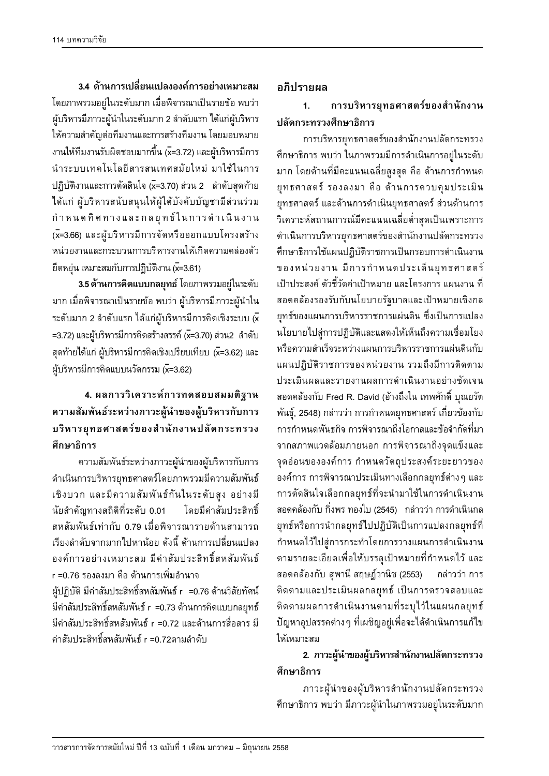$\overline{3.4}$  ด้านการเปลี่ยนแปลงองค์การอย่างเหมาะสม โดยภาพรวมอยู่ในระดับมาก เมื่อพิจารณาเป็นรายข้อ พบว่า ผู้บริหารมีภาวะผู้นำในระดับมาก 2 ลำดับแรก ได้แก่ผู้บริหาร ให้ความสำคัญต่อทีมงานและการสร้างทีมงาน โดยมอบหมาย งานให้ทีมงานรับผิดชอบมากขึ้น (x=3.72) และผู้บริหารมีการ นำระบบเทคโนโลยีสารสนเทศสมัยใหม่ มาใช้ในการ ปฏิบัติงานและการตัดสินใจ (x=3.70) ส่วน 2 ลำดับสุดท้าย ได้แก่ ผู้บริหารสนับสนุนให้ผู้ใต้บังคับบัญชามีส่วนร่วม กำหนดทิศทางและกลยุทธ์ในการดำเนินงาน (x=3.66) และผู้บริหารมีการจัดหรือออกแบบโครงสร้าง <u>หน่วยงานและกระบวนการบริหารงานให้เกิดความคล่องตัว</u>  $\vec{v}$ ดหยุ่น เหมาะสมกับการปฏิบัติงาน ( $\overline{x}$ =3.61)

**3.5** ด้านการคิดแบบกลยุทธ์ โดยภาพรวมอยู่ในระดับ ้มาก เมื่อพิจารณาเป็นรายข้อ พบว่า ผู้บริหารมีภาวะผู้นำใน  $\bar{z}$ ระดับมาก 2 ลำดับแรก ได้แก่ผู้บริหารมีการคิดเชิงระบบ  $\bar{\mathsf{x}}$ =3.72) และผู้บริหารมีการคิดสร้างสรรค์ ( $\overline{x}$ =3.70) ส่วน2 ลำดับ  $\bar{\mathfrak{s}}$ ดท้ายได้แก่ ผู้บริหารมีการคิดเชิงเปรียบเทียบ (x=3.62) และ ผู้บริหารมีการคิดแบบนวัตกรรม (x=3.62)

## $1.$  ผลการวิเคราะห์การทดสอบสมมติฐาน **ªµ¤´¤¡´r¦³®ªnµ£µª³¼oε°¼o¦·®µ¦´µ¦ ¦·®µ¦¥»«µ¦r°Îµ´µ¨´¦³¦ª** ์ศึกษาธิการ

้ความสัมพันธ์ระหว่างภาวะผู้นำของผู้บริหารกับการ ดำเนินการบริหารยุทธศาสตร์โดยภาพรวมมีความสัมพันธ์ เชิงบวก และมีความสัมพันธ์กันในระดับสูง อย่างมี ้นัยสำคัญทางสถิติที่ระดับ 0.01 โดยมีค่าสัมประสิทธิ์ ิสหสัมพันธ์เท่ากับ 0.79 เมื่อพิจารณารายด้านสามารถ เรียงลำดับจากมากไปหานักย ดังนี้ ด้านการเปลี่ยนแปลง ืองค์การอย่างเหมาะสม มีค่าสัมประสิทธิ์สหสัมพันธ์ r =0.76 รองลงมา คือ ด้านการเพิ่มอำนาจ ผ้ปฏิบัติ มีค่าสัมประสิทธิ์สหสัมพันธ์ r =0.76 ด้านวิสัยทัศน์ ้มีค่าสัมประสิทธิ์สหสัมพันธ์ r =0.73 ด้านการคิดแบบกลยุทธ์ ้มีค่าสัมประสิทธิ์สหสัมพันธ์ r =0.72 และด้านการสื่อสาร มี ค่าสัมประสิทธิ์สหสัมพันธ์ r =0.72ตามลำดับ

#### **°£·¦µ¥¨**

## 1. การบริหารยุทธศาสตร์ของสำนักงาน ้<sup>ำ</sup>|ลัดกระทรวงศึกษาธิการ

การบริหารยุทธศาสตร์ของสำนักงานปลัดกระทรวง ตึกษาธิการ พบว่า ในภาพรวมมีการดำเนินการอยู่ในระดับ มาก โดยด้านที่มีคะแนนเฉลี่ยสูงสุด คือ ด้านการกำหนด ยุทธศาสตร์ รองลงมา คือ ด้านการควบคุมประเมิน ยุทธศาสตร์ และด้านการดำเนินยุทธศาสตร์ ส่วนด้านการ วิเคราะห์สถานการณ์มีคะแนนเฉลี่ยต่ำสุดเป็นเพราะการ ดำเนินการบริหารยุทธศาสตร์ของสำนักงานปลัดกระทรวง ดึกษาธิการใช้แผนปฏิบัติราชการเป็นกรอบการดำเนินงาน ของหน่วยงาน มีการกำหนดประเด็นยุทธศาสตร์ เป้าประสงค์ ตัวชี้วัดค่าเป้าหมาย และโครงการ แผนงาน ที่ ิสอดคล้องรองรับกับนโยบายรัฐบาลและเป้าหมายเชิงกล ยุทธ์ของแผนการบริหารราชการแผ่นดิน ซึ่งเป็นการแปลง นโยบายไปสู่การปฏิบัติและแสดงให้เห็นถึงความเชื่อมโยง ึ่หรือความสำเร็จระหว่างแผนการบริหารราชการแผ่นดินกับ แผนปฏิบัติราชการของหน่วยงาน รวมถึงมีการติดตาม ประเมินผลและรายงานผลการดำเนินงานอย่างชัดเจน ิสอดคล้องกับ Fred R. David (อ้างถึงใน เทพศักดิ์ บุณยรัต ้พันธุ์, 2548) กล่าวว่า การกำหนดยุทธศาสตร์ เกี่ยวข้องกับ ำการกำหนดพันธกิจ การพิจารณาถึงโอกาสและข้อจำกัดที่มา จากสภาพแวดล้อมภายนอก การพิจารณาถึงจุดแข็งและ จุดอ่อนขององค์การ กำหนดวัตถุประสงค์ระยะยาวของ ื่องค์การ การพิจารณาประเมินทางเลือกกลยุทธ์ต่างๆ และ การตัดสินใจเลือกกลยุทธ์ที่จะนำมาใช้ในการดำเนินงาน ิ สอดคล้องกับ กิ่งพร ทองใบ (2545) กล่าวว่า การดำเนินกล ยุทธ์หรือการนำกลยุทธ์ไปปฏิบัติเป็นการแปลงกลยุทธ์ที่ กำหนดไว้ไปสู่การกระทำโดยการวางแผนการดำเนินงาน ัตามรายละเอียดเพื่อให้บรรลุเป้าหมายที่กำหนดไว้ และ ิ สอดคล้องกับ สุพานี สฤษฎ์วานิช (2553) กล่าวว่า การ ติดตามและประเมินผลกลยุทธ์ เป็นการตรวจสอบและ ์ติดตามผลการดำเนินงานตามที่ระบุไว้ในแผนกลยุทธ์ ู้ ปัญหาอุปสรรคต่างๆ ที่เผชิญอยู่เพื่อจะได้ดำเนินการแก้ไข ให้เหมาะสม

## **2. ภาวะผู้นำของผู้บริหารสำนักงานปลัดกระทรวง** ์ศึกษาธิการ

ภาวะผู้นำของผู้บริหารสำนักงานปลัดกระทรวง ์ ศึกษาธิการ พบว่า มีภาวะผู้นำในภาพรวมอยู่ในระดับมาก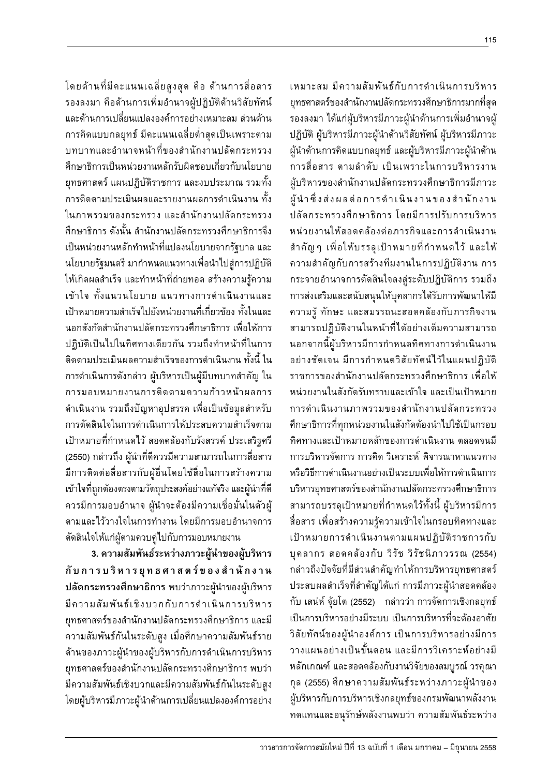เหมาะสม มีความสัมพันธ์กับการดำเนินการบริหาร ยุทธศาสตร์ของสำนักงานปลัดกระทรวงศึกษาธิการมากที่สุด ู้ รองลงมา ได้แก่ผู้บริหารมีภาวะผู้นำด้านการเพิ่มอำนาจผู้ ปฏิบัติ ผู้บริหารมีภาวะผู้นำด้านวิสัยทัศน์ ผู้บริหารมีภาวะ ผู้นำด้านการคิดแบบกลยุทธ์ และผู้บริหารมีภาวะผู้นำด้าน การสื่อสาร ตามลำดับ เป็นเพราะในการบริหารงาน ผู้บริหารของสำนักงานปลัดกระทรวงศึกษาธิการมีภาวะ ผู้นำซึ่งส่งผลต่อการดำเนินงานของสำนักงาน ปลัดกระทรวงศึกษาธิการ โดยมีการปรับการบริหาร หน่วยงานให้สอดคล้องต่อภารกิจและการดำเนินงาน สำคัญ ๆ เพื่อให้บรรลุเป้าหมายที่กำหนดไว้ และให้ ์ ความสำคัญกับการสร้างทีมงานในการปฏิบัติงาน การ กระจายอำนาจการตัดสินใจลงสู่ระดับปฏิบัติการ รวมถึง การส่งเสริมและสนับสนุนให้บุคลากรได้รับการพัฒนาให้มี ความรู้ ทักษะ และสมรรถนะสอดคล้องกับภารกิจงาน ี่สามารถปฏิบัติงานในหน้าที่ได้อย่างเต็มความสามารถ นอกจากนี้ผู้บริหารมีการกำหนดทิศทางการดำเนินงาน ือย่างชัดเจน มีการกำหนดวิสัยทัศน์ไว้ในแผนปฏิบัติ ราชการของสำนักงานปลัดกระทรวงศึกษาธิการ เพื่อให้ ็หน่วยงานในสังกัดรับทราบและเข้าใจ และเป็นเป้าหมาย การดำเนินงานภาพรวมของสำนักงานปลัดกระทรวง ์ ศึกษาธิการที่ทกหน่วยงานในสังกัดต้องนำไปใช้เป็นกรอบ ทิศทางและเป้าหมายหลักของการดำเนินงาน ตลอดจนมี ่<br>การบริหารจัดการ การคิด วิเคราะห์ พิจารณาหาแนวทาง ึ่หรือวิธีการดำเนินงานอย่างเป็นระบบเพื่อให้การดำเนินการ บริหารยทธศาสตร์ของสำนักงานปลัดกระทรวงศึกษาธิการ สามารถบรรลุเป้าหมายที่กำหนดไว้ทั้งนี้ ผู้บริหารมีการ ์สื่อสาร เพื่อสร้างความรู้ความเข้าใจในกรอบทิศทางและ เป้าหมายการดำเนินงานตามแผนปฏิบัติราชการกับ บุคลากร สอดคล้องกับ วิรัช วิรัชนิภาวรรณ (2554) ักล่าวถึงปัจจัยที่มีส่วนสำคัญทำให้การบริหารยทธศาสตร์ ประสบผลสำเร็จที่สำคัญได้แก่ การมีภาวะผู้นำสอดคล้อง ้กับ เสน่ห์ จุ้ยโต (2552) กล่าวว่า การจัดการเชิงกลยุทธ์ เป็นการบริหารอย่างมีระบบ เป็นการบริหารที่จะต้องอาศัย วิสัยทัศน์ของผู้นำองค์การ เป็นการบริหารอย่างมีการ วางแผนอย่างเป็นขั้นตอน และมีการวิเคราะห์อย่างมี หลักเกณฑ์ และสอดคล้องกับงานวิจัยของสมบูรณ์ วรคุณา กุล (2555) ศึกษาความสัมพันธ์ระหว่างภาวะผู้นำของ ผู้บริหารกับการบริหารเชิงกลยุทธ์ของกรมพัฒนาพลังงาน ิทดแทนและอนุรักษ์พลังงานพบว่า ความสัมพันธ์ระหว่าง

โดยด้านที่มีคะแนนเฉลี่ยสูงสุด คือ ด้านการสื่อสาร ู้ รองลงมา คือด้านการเพิ่มอำนาจผู้ปฏิบัติด้านวิสัยทัศน์ ้และด้านการเปลี่ยนแปลงองค์การอย่างเหมาะสม ส่วนด้าน การคิดแบบกลยุทธ์ มีคะแนนเฉลี่ยต่ำสุดเป็นเพราะตาม บทบาทและอำนาจหน้าที่ของสำนักงานปลัดกระทรวง ์ศึกษาธิการเป็นหน่วยงานหลักรับผิดชอบเกี่ยวกับนโยบาย ยุทธศาสตร์ แผนปฏิบัติราชการ และงบประมาณ รวมทั้ง ำการติดตามประเมินผลและรายงานผลการดำเนินงาน ทั้ง ในภาพรวมของกระทรวง และสำนักงานปลัดกระทรวง ์ศึกษาธิการ ดังนั้น สำนักงานปลัดกระทรวงศึกษาธิการจึง ้ เป็นหน่วยงานหลักทำหน้าที่แปลงนโยบายจากรัฐบาล และ ็นโยบายรัฐมนตรี มากำหนดแนวทางเพื่อนำไป<u>สู่</u>การปฏิบัติ ให้เกิดผลสำเร็จ และทำหน้าที่ถ่ายทอด สร้างความรู้ความ เข้าใจ ทั้งแนวนโยบาย แนวทางการดำเนินงานและ เป้าหมายความสำเร็จไปยังหน่วยงานที่เกี่ยวข้อง ทั้งในและ ้นอกสังกัดสำนักงานปลัดกระทรวงศึกษาธิการ เพื่อให้การ ิปภิบัติเป็นไปในทิศทางเดียวกัน รวมถึงทำหน้าที่ในการ ์ติดตามประเมินผลความสำเร็จของการดำเนินงาน ทั้งนี้ ใน ิ การดำเนินการดังกล่าว ผู้บริหารเป็นผู้มีบทบาทสำคัญ ใน ิการมอบหมายงานการติดตามความก้าวหน้าผลการ ดำเนินงาน รวมถึงปัญหาอุปสรรค เพื่อเป็นข้อมูลสำหรับ การตัดสินใจในการดำเนินการให้ประสบความสำเร็จตาม เป้าหมายที่กำหนดไว้ สอดคล้องกับรังสรรค์ ประเสริฐศรี (2550) กล่าวถึง ผู้นำที่ดีควรมีความสามารถในการสื่อสาร ่ มีการติดต่อสื่อสารกับผู้อื่นโดยใช้สื่อในการสร้างความ เข้าใจที่ถูกต้องตรงตามวัตถุประสงค์อย่างแท้จริง และผู้นำที่ดี ควรมีการมอบอำนาจ ผู้นำจะต้องมีความเชื่อมั่นในตัวผู้ ์ ตามและไว้วางใจในการทำงาน โดยมีการมอบอำนาจการ ้ตัดสินใจให้แก่ผู้ตามควบคู่ไปกับการมอบหมายงาน

3. ความสัมพันธ์ระหว่างภาวะผู้นำของผู้บริหาร **´µ¦¦·®µ¦¥»«µ¦r°Îµ ´µ** ึ**ปลัดกระทรวงศึกษาธิการ** พบว่าภาวะผู้นำของผู้บริหาร มีความสัมพันธ์เชิงบวกกับการดำเนินการบริหาร ยทธศาสตร์ของสำนักงานปลัดกระทรวงศึกษาธิการ และมี ์ ความสัมพันธ์กันในระดับสูง เมื่อศึกษาความสัมพันธ์ราย ด้านของภาวะผู้นำของผู้บริหารกับการดำเนินการบริหาร ยุทธศาสตร์ของสำนักงานปลัดกระทรวงศึกษาธิการ พบว่า มีความสัมพันธ์เชิงบวกและมีความสัมพันธ์กันในระดับสูง โดยผู้บริหารมีภาวะผู้นำด้านการเปลี่ยนแปลงองค์การอย่าง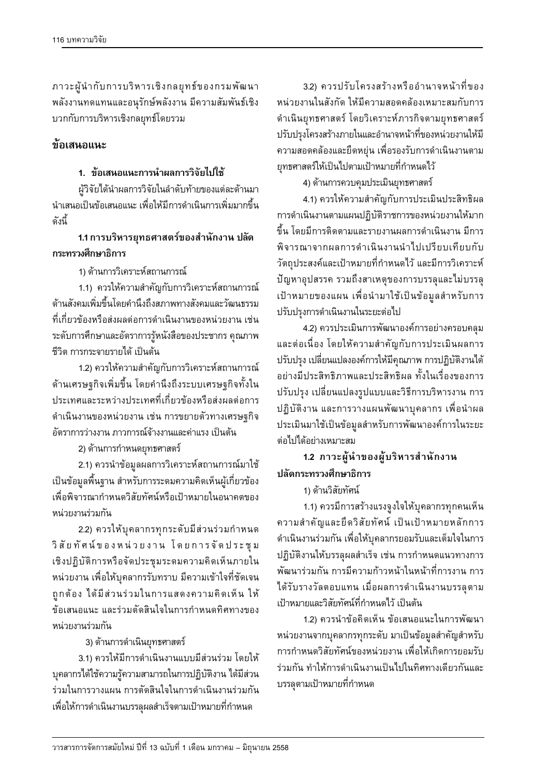3.2) ควรปรับโครงสร้างหรืออำนาจหน้าที่ของ ึ่ หน่วยงานในสังกัด ให้มีความสอดคล้องเหมาะสมกับการ ดำเนินยทธศาสตร์ โดยวิเคราะห์ภารกิจตามยทธศาสตร์ ปรับปรุงโครงสร้างภายในและอำนาจหน้าที่ของหน่วยงานให้มี ้ ความสอดคล้องและยืดหยุ่น เพื่อรองรับการดำเนินงานตาม ยุทธศาสตร์ให้เป็นไปตามเป้าหมายที่กำหนดไว้

4) ด้านการควบคุมประเมินยุทธศาสตร์

4.1) ควรให้ความสำคัญกับการประเมินประสิทธิผล การดำเนินงานตามแผนปฏิบัติราชการของหน่วยงานให้มาก ์ขึ้น โดยมีการติดตามและรายงานผลการดำเนินงาน มีการ ทิจารณาจากผลการดำเนินงานนำไปเปรียบเทียบกับ ้วัตถุประสงค์และเป้าหมายที่กำหนดไว้ และมีการวิเคราะห์ ู ปัญหาอุปสรรค รวมถึงสาเหตุของการบรรลุและไม่บรรลุ เป้าหมายของแผน เพื่อนำมาใช้เป็นข้อมูลสำหรับการ ปรับปรุงการดำเนินงานในระยะต่อไป

4.2) ควรประเมินการพัฒนาองค์การอย่างครอบคลุม ้และต่อเนื่อง โดยให้ความสำคัญกับการประเมินผลการ ู้ ปรับปรุง เปลี่ยนแปลงองค์การให้มีคุณภาพ การปฏิบัติงานได้ ือย่างมีประสิทธิภาพและประสิทธิผล ทั้งในเรื่องของการ ปรับปรุง เปลี่ยนแปลงรูปแบบและวิธีการบริหารงาน การ ปฏิบัติงาน และการวางแผนพัฒนาบุคลากร เพื่อนำผล ประเมินมาใช้เป็นข้อมูลสำหรับการพัฒนาองค์การในระยะ ต่อไปได้อย่างเหมาะสม

1.2 ภาวะผู้นำของผู้บริหารสำนักงาน ้<sup>ำ</sup>|ลัดกระทรวงศึกษาธิการ

#### 1) ด้านวิสัยทัศน์

1.1) ควรมีการสร้างแรงจูงใจให้บุคลากรทุกคนเห็น ์ ความสำคัญและยึดวิสัยทัศน์ เป็นเป้าหมายหลักการ ดำเนินงานร่วมกัน เพื่อให้บุคลากรยอมรับและเต็มใจในการ ปฏิบัติงานให้บรรลุผลสำเร็จ เช่น การกำหนดแนวทางการ ์ พัฒนาร่วมกัน การมีความก้าวหน้าในหน้าที่การงาน การ ได้รับรางวัลตอบแทน เมื่อผลการดำเนินงานบรรลุตาม เป้าหมายและวิสัยทัศน์ที่กำหนดไว้ เป็นต้น

1.2) ควรนำข้อคิดเห็น ข้อเสนอแนะในการพัฒนา ิ หน่วยงานจากบุคลากรทุกระดับ มาเป็นข้อมูลสำคัญสำหรับ การกำหนดวิสัยทัศน์ของหน่วยงาน เพื่อให้เกิดการยอมรับ ร่วมกัน ทำให้การดำเนินงานเป็นไปในทิศทางเดียวกันและ ็บรรลุตามเป้าหมายที่กำหนด

ภาวะผู้นำกับการบริหารเชิงกลยุทธ์ของกรมพัฒนา พลังงานทดแทนและอนุรักษ์พลังงาน มีความสัมพันธ์เชิง ็บวกกับการบริหารเชิงกลยุทธ์โดยรวม

### ์<br>ข้อเสนอแนะ

#### <u>1. ข้อเสนอแนะการนำผลการวิจัยไปใช้</u>

ผู้วิจัยได้นำผลการวิจัยในลำดับท้ายของแต่ละด้านมา ึ นำเสนอเป็นข้อเสนอแนะ เพื่อให้มีการดำเนินการเพิ่มมากขึ้น ึดั้งนี้

## **1.1µ¦¦·®µ¦¥»«µ¦r°Îµ´µ ¨´ ุกระทรวงศึกษาธิการ**

1) ด้านการวิเคราะห์สถานการณ์

1.1) ควรให้ความสำคัญกับการวิเคราะห์สถานการณ์ ด้านสังคมเพิ่มขึ้นโดยคำนึงถึงสภาพทางสังคมและวัฒนธรรม ู้ที่เกี่ยวข้องหรือส่งผลต่อการดำเนินงานของหน่วยงาน เช่น ระดับการศึกษาและอัตราการรู้หนังสือของประชากร คุณภาพ ชีวิต การกระจายรายได้ เป็นต้น

1.2) ควรให้ความสำคัญกับการวิเคราะห์สถานการณ์ ด้านเศรษฐกิจเพิ่มขึ้น โดยคำนึงถึงระบบเศรษฐกิจทั้งใน ประเทศและระหว่างประเทศที่เกี่ยวข้องหรือส่งผลต่อการ ดำเนินงานของหน่วยงาน เช่น การขยายตัวทางเศรษฐกิจ ้อัตราการว่างงาน ภาวการณ์จ้างงานและค่าแรง เป็นต้น

2) ด้านการกำหนดยุทธศาสตร์

2.1) ควรนำข้อมูลผลการวิเคราะห์สถานการณ์มาใช้ ้เป็นข้อมูลพื้นฐาน สำหรับการระดมความคิดเห็นผู้เกี่ยวข้อง ู้ เพื่อพิจารณากำหนดวิสัยทัศน์หรือเป้าหมายในอนาคตของ ่<sup>หน่</sup>วยงานร่วมกัน

2.2) ควรให้บุคลากรทุกระดับมีส่วนร่วมกำหนด วิสัยทัศน์ของหน่วยงาน โดยการจัดประชุม เชิงปฏิบัติการหรือจัดประชุมระดมความคิดเห็นภายใน ิ หน่วยงาน เพื่อให้บุคลากรรับทราบ มีความเข้าใจที่ชัดเจน ถูกต้อง ได้มีส่วนร่วมในการแสดงความคิดเห็น ให้ ข้อเสนอแนะ และร่วมตัดสินใจในการกำหนดทิศทางของ ็หน่วยงานร่วมกัน

## 3) ด้านการดำเนินยุทธศาสตร์

3.1) ควรให้มีการดำเนินงานแบบมีส่วนร่วม โดยให้ บุคลากรได้ใช้ความรู้ความสามารถในการปฏิบัติงาน ได้มีส่วน ร่วมในการวางแผน การตัดสินใจในการดำเนินงานร่วมกัน เพื่อให้การดำเนินงานบรรลุผลสำเร็จตามเป้าหมายที่กำหนด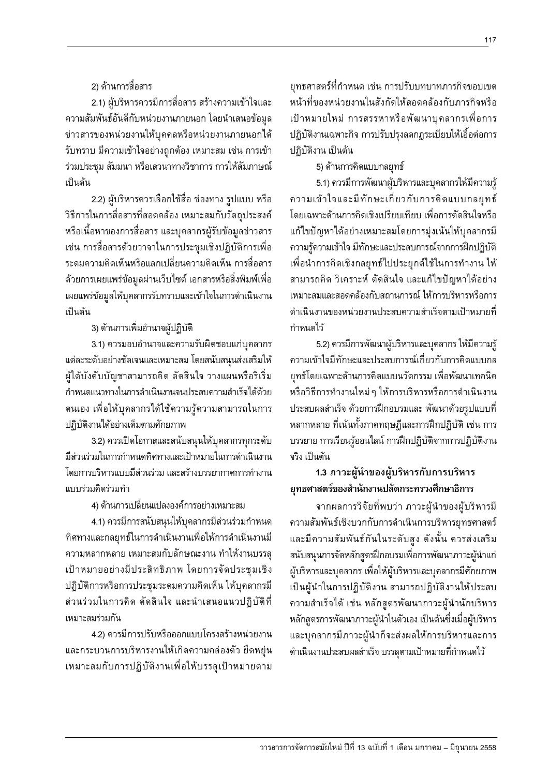#### 2) ด้านการสื่อสาร

2.1) ผู้บริหารควรมีการสื่อสาร สร้างความเข้าใจและ ้ความสัมพันธ์อันดีกับหน่วยงานภายนอก โดยนำเสนอข้อมูล ข่าวสารของหน่วยงานให้บุคคลหรือหน่วยงานภายนอกได้ ู้รับทราบ มีความเข้าใจอย่างถูกต้อง เหมาะสม เช่น การเข้า ูร่วมประชุม สัมมนา หรือเสวนาทางวิชาการ การให้สัมภาษณ์ เป็นต้น

2.2) ผู้บริหารควรเลือกใช้สื่อ ช่องทาง รูปแบบ หรือ ้วิธีการในการสื่อสารที่สอดคล้อง เหมาะสมกับวัตถุประสงค์ ่ หรือเนื้อหาของการสื่อสาร และบุคลากรผู้รับข้อมูลข่าวสาร เช่น การสื่อสารด้วยวาจาในการประชุมเชิงปฏิบัติการเพื่อ ่ ระดมความคิดเห็นหรือแลกเปลี่ยนความคิดเห็น การสื่อสาร ด้วยการเผยแพร่ข้อมลผ่านเว็บไซต์ เอกสารหรือสิ่งพิมพ์เพื่อ เผยแพร่ข้อมูลให้บุคลากรรับทราบและเข้าใจในการดำเนินงาน เป็นต้น

#### 3) ด้านการเพิ่มอำนาจผัปฏิบัติ

3.1) ควรมอบอำนาจและความรับผิดชอบแก่บุคลากร แต่ละระดับอย่างชัดเจนและเหมาะสม โดยสนับสนุนส่งเสริมให้ ผู้ใต้บังคับบัญชาสามารถคิด ตัดสินใจ วางแผนหรือริเริ่ม กำหนดแนวทางในการดำเนินงานจนประสบความสำเร็จได้ด้วย ็ตนเอง เพื่อให้บุคลากรได้ใช้ความรู้ความสามารถในการ ปฏิบัติงานได้อย่างเต็มตามศักยภาพ

3.2) ควรเปิดโอกาสและสนับสนุนให้บุคลากรทุกระดับ มีส่วนร่วมในการกำหนดทิศทางและเป้าหมายในการดำเนินงาน โดยการบริหารแบบมีส่วนร่วม และสร้างบรรยากาศการทำงาน แบบร่วมคิดร่วมทำ

4) ด้านการเปลี่ยนแปลงองค์การอย่างเหมาะสม

4.1) ควรมีการสนับสนุนให้บุคลากรมีส่วนร่วมกำหนด ึทิศทางและกลยุทธ์ในการดำเนินงานเพื่อให้การดำเนินงานมี ความหลากหลาย เหมาะสมกับลักษณะงาน ทำให้งานบรรลุ เป้าหมายอย่างมีประสิทธิภาพ โดยการจัดประชุมเชิง ปฏิบัติการหรือการประชุมระดมความคิดเห็น ให้บุคลากรมี ส่วนร่วมในการคิด ตัดสินใจ และนำเสนอแนวปฏิบัติที่ เหมาะสมร่วมกัน

4.2) ควรมีการปรับหรือออกแบบโครงสร้างหน่วยงาน ้และกระบวนการบริหารงานให้เกิดความคล่องตัว ยืดหยุ่น เหมาะสมกับการปฏิบัติงานเพื่อให้บรรลุเป้าหมายตาม ยุทธศาสตร์ที่กำหนด เช่น การปรับบทบาทภารกิจขอบเขต หน้าที่ของหน่วยงานในสังกัดให้สอดคล้องกับภารกิจหรือ เป้าหมายใหม่ การสรรหาหรือพัฒนาบคลากรเพื่อการ ู้ ปฏิบัติงานเฉพาะกิจ การปรับปรุงลดกฏระเบียบให้เอื้อต่อการ ปฏิบัติงาน เป็นต้น

5) ด้านการคิดแบบกลยุทธ์

5.1) ควรมีการพัฒนาผู้บริหารและบุคลากรให้มีความ<u>ร</u>ั ้ความเข้าใจและมีทักษะเกี่ยวกับการคิดแบบกลยทธ์ โดยเฉพาะด้านการคิดเชิงเปรียบเทียบ เพื่อการตัดสินใจหรือ แก้ไขปัญหาได้อย่างเหมาะสมโดยการมุ่งเน้นให้บุคลากรมี ความรู้ความเข้าใจ มีทักษะและประสบการณ์จากการฝึกปฏิบัติ เพื่อนำการคิดเชิงกลยุทธ์ไปประยุกต์ใช้ในการทำงาน ให้ สามารถคิด วิเคราะห์ ตัดสินใจ และแก้ไขปัญหาได้อย่าง ้เหมาะสมและสอดคล้องกับสถานการณ์ ให้การบริหารหรือการ ี ดำเนินงานของหน่วยงานประสบความสำเร็จตามเป้าหมายที่ กำหนดไว้

5.2) ควรมีการพัฒนาผู้บริหารและบุคลากร ให้มีความรู้ ้ความเข้าใจมีทักษะและประสบการณ์เกี่ยวกับการคิดแบบกล ยุทธ์โดยเฉพาะด้านการคิดแบบนวัตกรรม เพื่อพัฒนาเทคนิค หรือวิธีการทำงานใหม่ ๆ ให้การบริหารหรือการดำเนินงาน ประสบผลสำเร็จ ด้วยการฝึกอบรมและ พัฒนาด้วยรูปแบบที่ ้ หลากหลาย ที่เน้นทั้งภาคทฤษฎีและการฝึกปฏิบัติ เช่น การ ู บรรยาย การเรียนรู้ออนไลน์ การฝึกปฏิบัติจากการปฏิบัติงาน ้จริง เป็นต้น

### 1.3 ภาวะผู้นำของผู้บริหารกับการบริหาร ยุทธศาสตร์ของสำนักงานปลัดกระทรวงศึกษาธิการ

้จากผลการวิจัยที่พบว่า ภาวะผู้นำของผู้บริหารมี ์ ความสัมพันธ์เชิงบวกกับการดำเนินการบริหารยุทธศาสตร์ และมีความสัมพันธ์กันในระดับสูง ดังนั้น ควรส่งเสริม ิ สนับสนุนการจัดหลักสูตรฝึกอบรมเพื่อการพัฒนาภาวะผู้นำแก่ ผู้บริหารและบุคลากร เพื่อให้ผู้บริหารและบุคลากรมีศักยภาพ เป็นผู้นำในการปฏิบัติงาน สามารถปฏิบัติงานให้ประสบ ความสำเร็จได้ เช่น หลักสูตรพัฒนาภาวะผู้นำนักบริหาร หลักสูตรการพัฒนาภาวะผู้นำในตัวเอง เป็นต้นซึ่งเมื่อผู้บริหาร และบุคลากรมีภาวะผู้นำก็จะส่งผลให้การบริหารและการ

ดำเนินงานประสบผลสำเร็จ บรรลุตามเป้าหมายที่กำหนดไว้